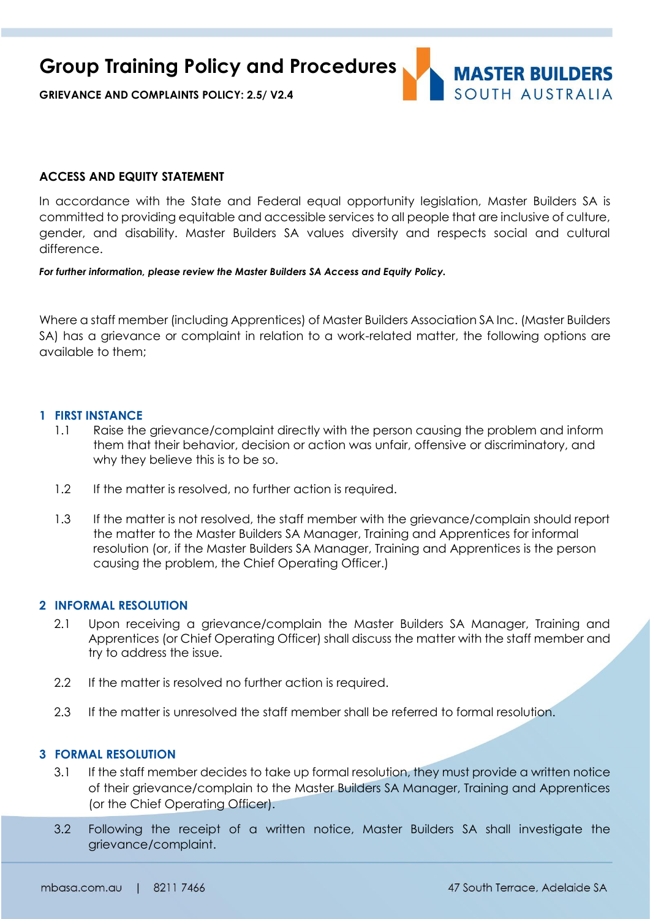**Group Training Policy and Procedures**

**GRIEVANCE AND COMPLAINTS POLICY: 2.5/ V2.4**

# **MASTER BUILDERS** SOUTH AUSTRAILA

#### **ACCESS AND EQUITY STATEMENT**

In accordance with the State and Federal equal opportunity legislation, Master Builders SA is committed to providing equitable and accessible services to all people that are inclusive of culture, gender, and disability. Master Builders SA values diversity and respects social and cultural difference.

#### *For further information, please review the Master Builders SA Access and Equity Policy.*

Where a staff member (including Apprentices) of Master Builders Association SA Inc. (Master Builders SA) has a grievance or complaint in relation to a work-related matter, the following options are available to them;

#### **1 FIRST INSTANCE**

- 1.1 Raise the grievance/complaint directly with the person causing the problem and inform them that their behavior, decision or action was unfair, offensive or discriminatory, and why they believe this is to be so.
- 1.2 If the matter is resolved, no further action is required.
- 1.3 If the matter is not resolved, the staff member with the grievance/complain should report the matter to the Master Builders SA Manager, Training and Apprentices for informal resolution (or, if the Master Builders SA Manager, Training and Apprentices is the person causing the problem, the Chief Operating Officer.)

#### **2 INFORMAL RESOLUTION**

- 2.1 Upon receiving a grievance/complain the Master Builders SA Manager, Training and Apprentices (or Chief Operating Officer) shall discuss the matter with the staff member and try to address the issue.
- 2.2 If the matter is resolved no further action is required.
- 2.3 If the matter is unresolved the staff member shall be referred to formal resolution.

#### **3 FORMAL RESOLUTION**

- 3.1 If the staff member decides to take up formal resolution, they must provide a written notice of their grievance/complain to the Master Builders SA Manager, Training and Apprentices (or the Chief Operating Officer).
- 3.2 Following the receipt of a written notice, Master Builders SA shall investigate the grievance/complaint.